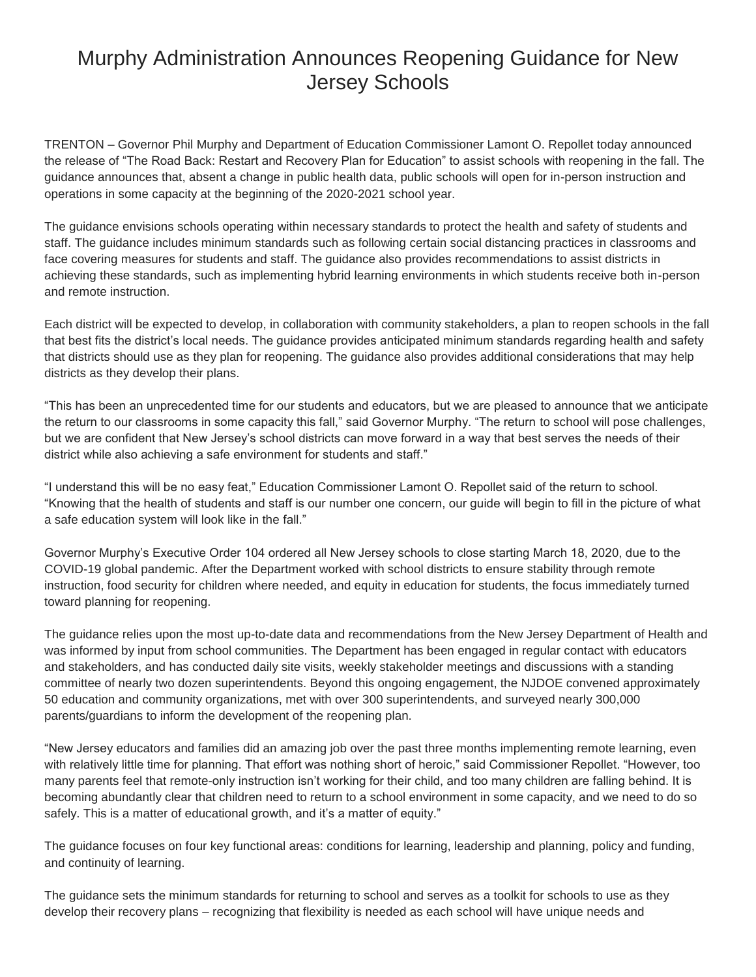## Murphy Administration Announces Reopening Guidance for New Jersey Schools

TRENTON – Governor Phil Murphy and Department of Education Commissioner Lamont O. Repollet today announced the release of "The Road Back: Restart and Recovery Plan for Education" to assist schools with reopening in the fall. The guidance announces that, absent a change in public health data, public schools will open for in-person instruction and operations in some capacity at the beginning of the 2020-2021 school year.

The guidance envisions schools operating within necessary standards to protect the health and safety of students and staff. The guidance includes minimum standards such as following certain social distancing practices in classrooms and face covering measures for students and staff. The guidance also provides recommendations to assist districts in achieving these standards, such as implementing hybrid learning environments in which students receive both in-person and remote instruction.

Each district will be expected to develop, in collaboration with community stakeholders, a plan to reopen schools in the fall that best fits the district's local needs. The guidance provides anticipated minimum standards regarding health and safety that districts should use as they plan for reopening. The guidance also provides additional considerations that may help districts as they develop their plans.

"This has been an unprecedented time for our students and educators, but we are pleased to announce that we anticipate the return to our classrooms in some capacity this fall," said Governor Murphy. "The return to school will pose challenges, but we are confident that New Jersey's school districts can move forward in a way that best serves the needs of their district while also achieving a safe environment for students and staff."

"I understand this will be no easy feat," Education Commissioner Lamont O. Repollet said of the return to school. "Knowing that the health of students and staff is our number one concern, our guide will begin to fill in the picture of what a safe education system will look like in the fall."

Governor Murphy's Executive Order 104 ordered all New Jersey schools to close starting March 18, 2020, due to the COVID-19 global pandemic. After the Department worked with school districts to ensure stability through remote instruction, food security for children where needed, and equity in education for students, the focus immediately turned toward planning for reopening.

The guidance relies upon the most up-to-date data and recommendations from the New Jersey Department of Health and was informed by input from school communities. The Department has been engaged in regular contact with educators and stakeholders, and has conducted daily site visits, weekly stakeholder meetings and discussions with a standing committee of nearly two dozen superintendents. Beyond this ongoing engagement, the NJDOE convened approximately 50 education and community organizations, met with over 300 superintendents, and surveyed nearly 300,000 parents/guardians to inform the development of the reopening plan.

"New Jersey educators and families did an amazing job over the past three months implementing remote learning, even with relatively little time for planning. That effort was nothing short of heroic," said Commissioner Repollet. "However, too many parents feel that remote-only instruction isn't working for their child, and too many children are falling behind. It is becoming abundantly clear that children need to return to a school environment in some capacity, and we need to do so safely. This is a matter of educational growth, and it's a matter of equity."

The guidance focuses on four key functional areas: conditions for learning, leadership and planning, policy and funding, and continuity of learning.

The guidance sets the minimum standards for returning to school and serves as a toolkit for schools to use as they develop their recovery plans – recognizing that flexibility is needed as each school will have unique needs and